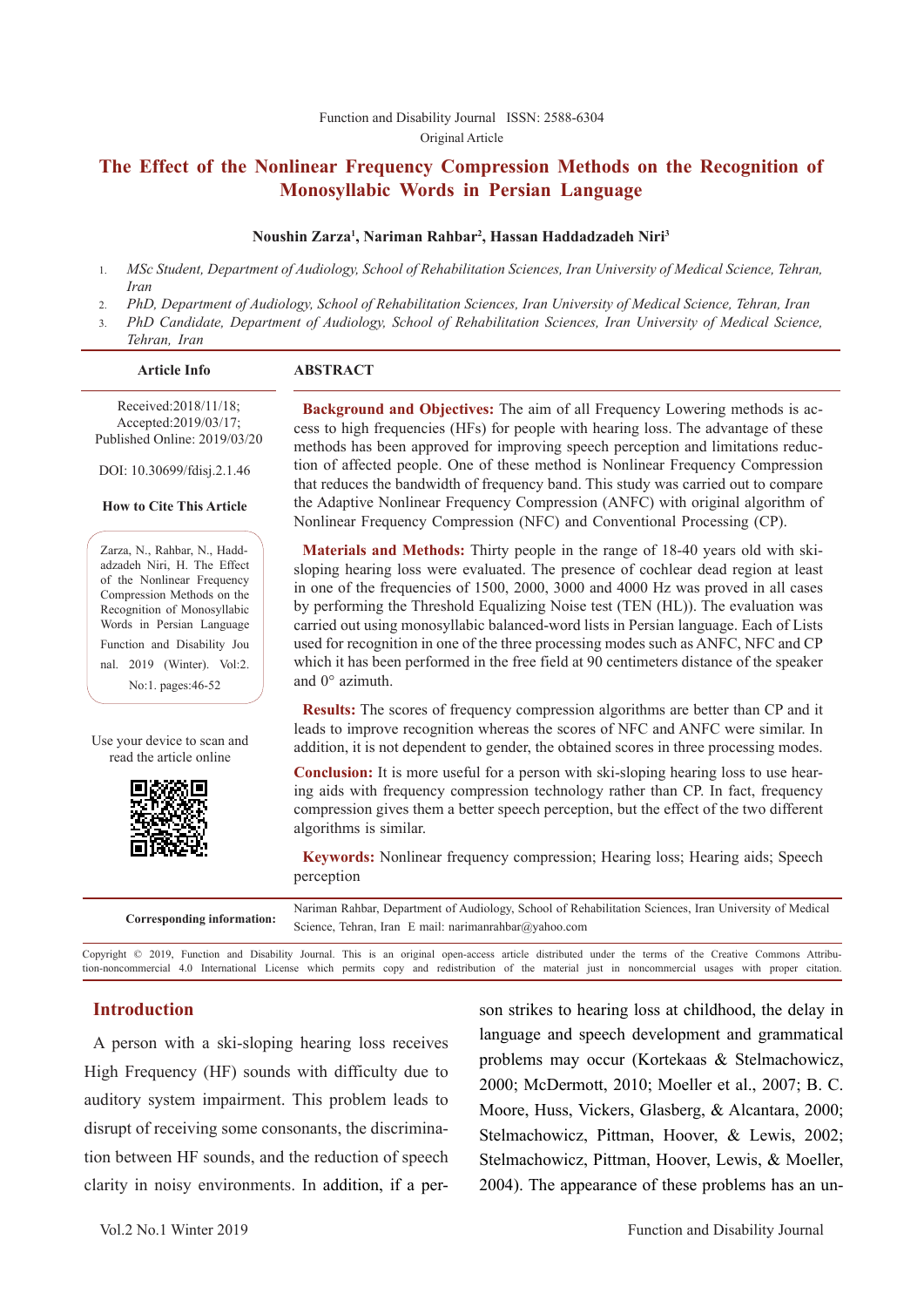# **The Effect of the Nonlinear Frequency Compression Methods on the Recognition of Monosyllabic Words in Persian Language**

#### **Noushin Zarza1 , Nariman Rahbar2 , Hassan Haddadzadeh Niri3**

- 1. *MSc Student, Department of Audiology, School of Rehabilitation Sciences, Iran University of Medical Science, Tehran, Iran*
- 2. *PhD, Department of Audiology, School of Rehabilitation Sciences, Iran University of Medical Science, Tehran, Iran*
- 3. *PhD Candidate, Department of Audiology, School of Rehabilitation Sciences, Iran University of Medical Science, Tehran, Iran*

| <b>Article Info</b> | <b>ABSTRACT</b> |  |
|---------------------|-----------------|--|
|                     |                 |  |

Received:2018/11/18; Accepted:2019/03/17; Published Online: 2019/03/20

DOI: 10.30699/fdisj.2.1.46

#### **How to Cite This Article**

Zarza, N., Rahbar, N., Haddadzadeh Niri, H. The Effect of the Nonlinear Frequency Compression Methods on the Recognition of Monosyllabic Words in Persian Language Function and Disability Jou nal. 2019 (Winter). Vol:2. No:1. pages:46-52

Use your device to scan and read the article online



**Background and Objectives:** The aim of all Frequency Lowering methods is access to high frequencies (HFs) for people with hearing loss. The advantage of these methods has been approved for improving speech perception and limitations reduction of affected people. One of these method is Nonlinear Frequency Compression that reduces the bandwidth of frequency band. This study was carried out to compare the Adaptive Nonlinear Frequency Compression (ANFC) with original algorithm of Nonlinear Frequency Compression (NFC) and Conventional Processing (CP).

**Materials and Methods:** Thirty people in the range of 18-40 years old with skisloping hearing loss were evaluated. The presence of cochlear dead region at least in one of the frequencies of 1500, 2000, 3000 and 4000 Hz was proved in all cases by performing the Threshold Equalizing Noise test (TEN (HL)). The evaluation was carried out using monosyllabic balanced-word lists in Persian language. Each of Lists used for recognition in one of the three processing modes such as ANFC, NFC and CP which it has been performed in the free field at 90 centimeters distance of the speaker and 0° azimuth.

**Results:** The scores of frequency compression algorithms are better than CP and it leads to improve recognition whereas the scores of NFC and ANFC were similar. In addition, it is not dependent to gender, the obtained scores in three processing modes.

**Conclusion:** It is more useful for a person with ski-sloping hearing loss to use hearing aids with frequency compression technology rather than CP. In fact, frequency compression gives them a better speech perception, but the effect of the two different algorithms is similar.

**Keywords:** Nonlinear frequency compression; Hearing loss; Hearing aids; Speech perception

| Corresponding information: | Nariman Rahbar, Department of Audiology, School of Rehabilitation Sciences, Iran University of Medical |
|----------------------------|--------------------------------------------------------------------------------------------------------|
|                            | Science, Tehran, Iran E mail: narimanrahbar@yahoo.com                                                  |

Copyright © 2019, Function and Disability Journal. This is an original open-access article distributed under the terms of the Creative Commons Attribution-noncommercial 4.0 International License which permits copy and redistribution of the material just in noncommercial usages with proper citation.

### **Introduction**

A person with a ski-sloping hearing loss receives High Frequency (HF) sounds with difficulty due to auditory system impairment. This problem leads to disrupt of receiving some consonants, the discrimination between HF sounds, and the reduction of speech clarity in noisy environments. In addition, if a per-

son strikes to hearing loss at childhood, the delay in language and speech development and grammatical problems may occur (Kortekaas & Stelmachowicz, 2000; McDermott, 2010; Moeller et al., 2007; B. C. Moore, Huss, Vickers, Glasberg, & Alcantara, 2000; Stelmachowicz, Pittman, Hoover, & Lewis, 2002; Stelmachowicz, Pittman, Hoover, Lewis, & Moeller, 2004). The appearance of these problems has an un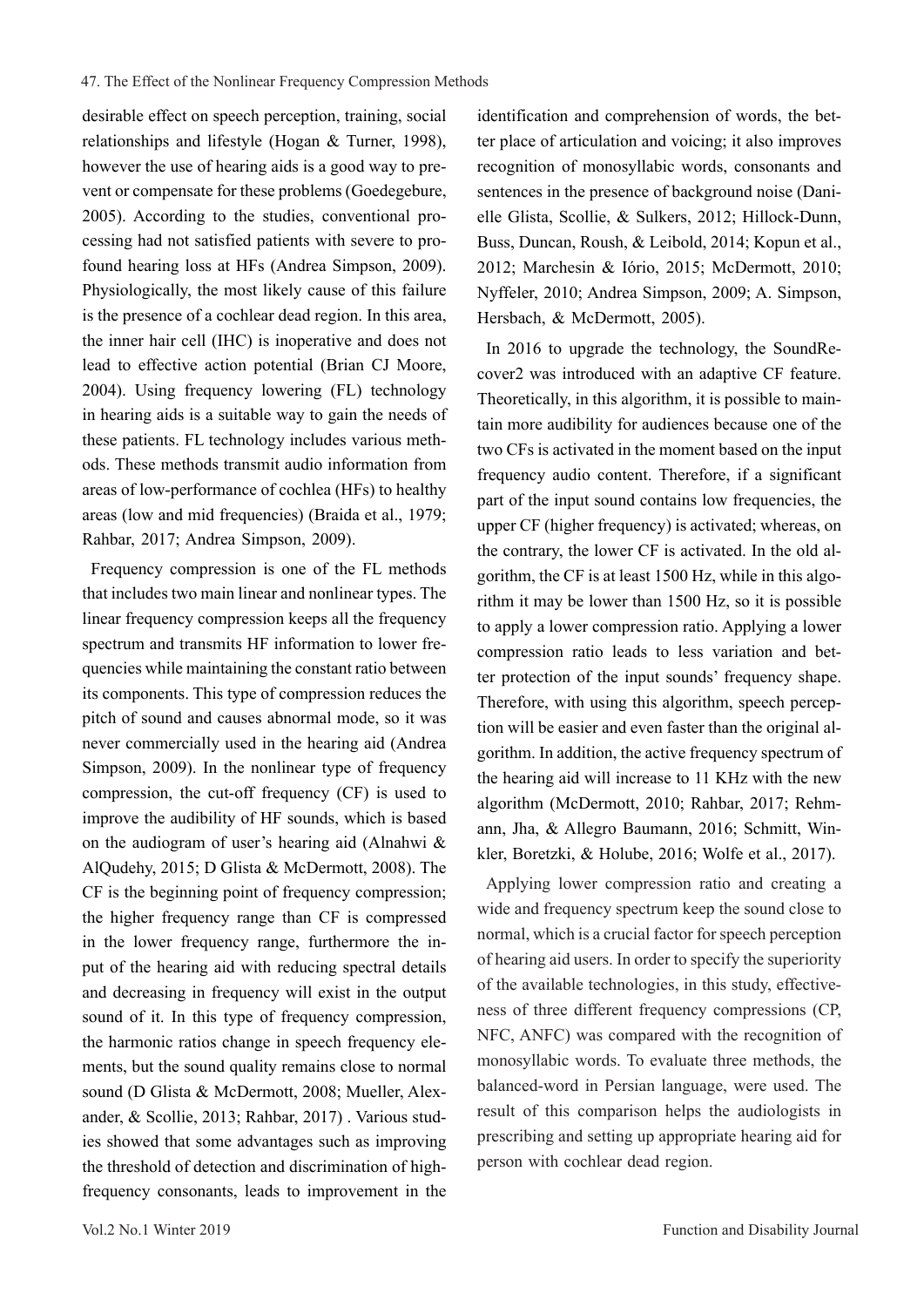desirable effect on speech perception, training, social relationships and lifestyle (Hogan & Turner, 1998), however the use of hearing aids is a good way to prevent or compensate for these problems (Goedegebure, 2005). According to the studies, conventional processing had not satisfied patients with severe to profound hearing loss at HFs (Andrea Simpson, 2009). Physiologically, the most likely cause of this failure is the presence of a cochlear dead region. In this area, the inner hair cell (IHC) is inoperative and does not lead to effective action potential (Brian CJ Moore, 2004). Using frequency lowering (FL) technology in hearing aids is a suitable way to gain the needs of these patients. FL technology includes various methods. These methods transmit audio information from areas of low-performance of cochlea (HFs) to healthy areas (low and mid frequencies) (Braida et al., 1979; Rahbar, 2017; Andrea Simpson, 2009).

Frequency compression is one of the FL methods that includes two main linear and nonlinear types. The linear frequency compression keeps all the frequency spectrum and transmits HF information to lower frequencies while maintaining the constant ratio between its components. This type of compression reduces the pitch of sound and causes abnormal mode, so it was never commercially used in the hearing aid (Andrea Simpson, 2009). In the nonlinear type of frequency compression, the cut-off frequency (CF) is used to improve the audibility of HF sounds, which is based on the audiogram of user's hearing aid (Alnahwi & AlQudehy, 2015; D Glista & McDermott, 2008). The CF is the beginning point of frequency compression; the higher frequency range than CF is compressed in the lower frequency range, furthermore the input of the hearing aid with reducing spectral details and decreasing in frequency will exist in the output sound of it. In this type of frequency compression, the harmonic ratios change in speech frequency elements, but the sound quality remains close to normal sound (D Glista & McDermott, 2008; Mueller, Alexander, & Scollie, 2013; Rahbar, 2017) . Various studies showed that some advantages such as improving the threshold of detection and discrimination of highfrequency consonants, leads to improvement in the

identification and comprehension of words, the better place of articulation and voicing; it also improves recognition of monosyllabic words, consonants and sentences in the presence of background noise (Danielle Glista, Scollie, & Sulkers, 2012; Hillock-Dunn, Buss, Duncan, Roush, & Leibold, 2014; Kopun et al., 2012; Marchesin & Iório, 2015; McDermott, 2010; Nyffeler, 2010; Andrea Simpson, 2009; A. Simpson, Hersbach, & McDermott, 2005).

In 2016 to upgrade the technology, the SoundRecover2 was introduced with an adaptive CF feature. Theoretically, in this algorithm, it is possible to maintain more audibility for audiences because one of the two CFs is activated in the moment based on the input frequency audio content. Therefore, if a significant part of the input sound contains low frequencies, the upper CF (higher frequency) is activated; whereas, on the contrary, the lower CF is activated. In the old algorithm, the CF is at least 1500 Hz, while in this algorithm it may be lower than 1500 Hz, so it is possible to apply a lower compression ratio. Applying a lower compression ratio leads to less variation and better protection of the input sounds' frequency shape. Therefore, with using this algorithm, speech perception will be easier and even faster than the original algorithm. In addition, the active frequency spectrum of the hearing aid will increase to 11 KHz with the new algorithm (McDermott, 2010; Rahbar, 2017; Rehmann, Jha, & Allegro Baumann, 2016; Schmitt, Winkler, Boretzki, & Holube, 2016; Wolfe et al., 2017).

Applying lower compression ratio and creating a wide and frequency spectrum keep the sound close to normal, which is a crucial factor for speech perception of hearing aid users. In order to specify the superiority of the available technologies, in this study, effectiveness of three different frequency compressions (CP, NFC, ANFC) was compared with the recognition of monosyllabic words. To evaluate three methods, the balanced-word in Persian language, were used. The result of this comparison helps the audiologists in prescribing and setting up appropriate hearing aid for person with cochlear dead region.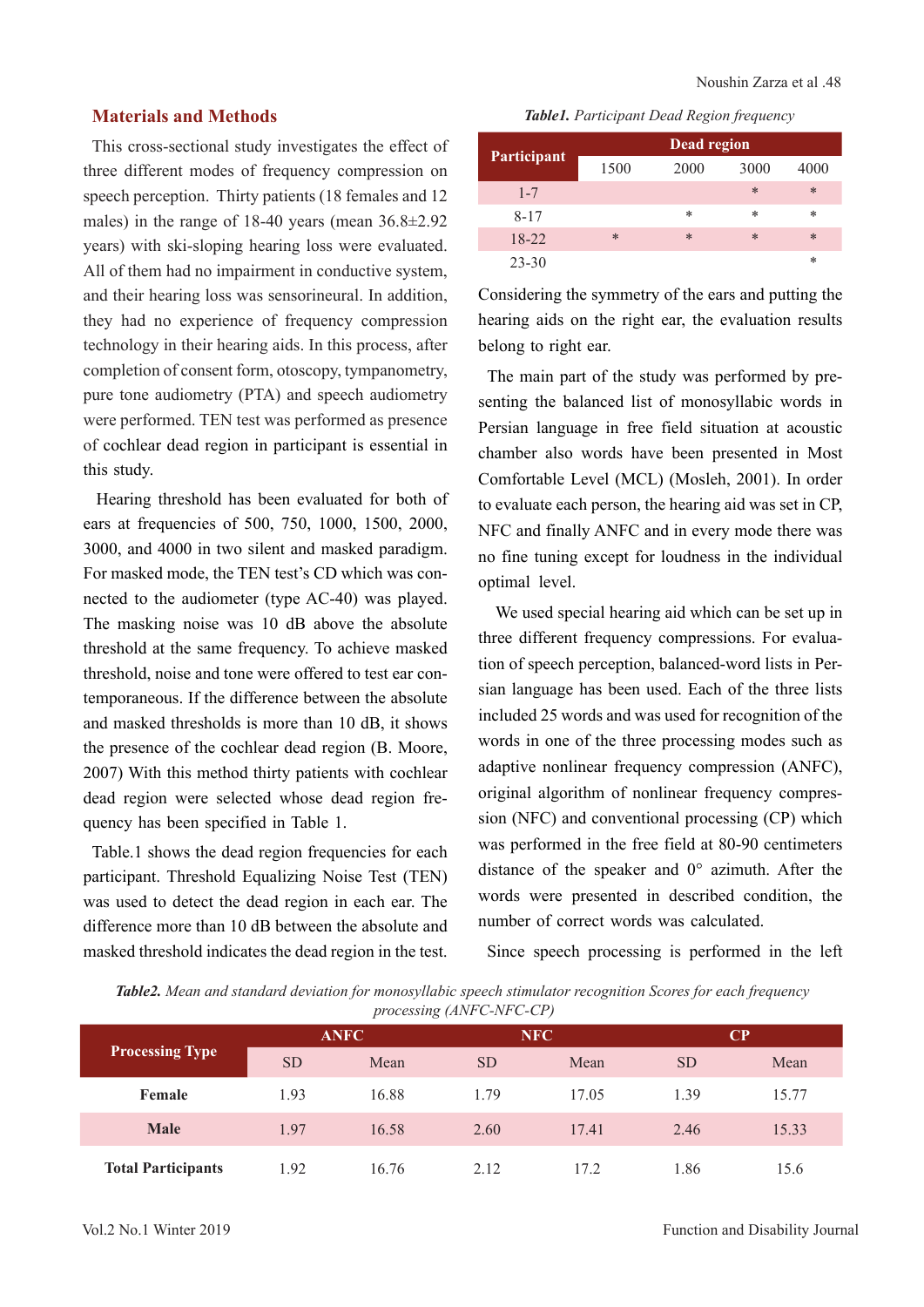# **Materials and Methods**

This cross-sectional study investigates the effect of three different modes of frequency compression on speech perception. Thirty patients (18 females and 12 males) in the range of 18-40 years (mean 36.8±2.92 years) with ski-sloping hearing loss were evaluated. All of them had no impairment in conductive system, and their hearing loss was sensorineural. In addition, they had no experience of frequency compression technology in their hearing aids. In this process, after completion of consent form, otoscopy, tympanometry, pure tone audiometry (PTA) and speech audiometry were performed. TEN test was performed as presence of cochlear dead region in participant is essential in this study.

Hearing threshold has been evaluated for both of ears at frequencies of 500, 750, 1000, 1500, 2000, 3000, and 4000 in two silent and masked paradigm. For masked mode, the TEN test's CD which was connected to the audiometer (type AC-40) was played. The masking noise was 10 dB above the absolute threshold at the same frequency. To achieve masked threshold, noise and tone were offered to test ear contemporaneous. If the difference between the absolute and masked thresholds is more than 10 dB, it shows the presence of the cochlear dead region (B. Moore, 2007) With this method thirty patients with cochlear dead region were selected whose dead region frequency has been specified in Table 1.

Table.1 shows the dead region frequencies for each participant. Threshold Equalizing Noise Test (TEN) was used to detect the dead region in each ear. The difference more than 10 dB between the absolute and masked threshold indicates the dead region in the test.

*Table1. Participant Dead Region frequency*

| Participant | Dead region |      |        |        |  |  |  |
|-------------|-------------|------|--------|--------|--|--|--|
|             | 1500        | 2000 | 3000   | 4000   |  |  |  |
| $1 - 7$     |             |      | $\ast$ | $\ast$ |  |  |  |
| $8 - 17$    |             | *    | *      | *      |  |  |  |
| $18-22$     | $\ast$      | *    | $\ast$ | $\ast$ |  |  |  |
| $23 - 30$   |             |      |        | *      |  |  |  |

Considering the symmetry of the ears and putting the hearing aids on the right ear, the evaluation results belong to right ear.

The main part of the study was performed by presenting the balanced list of monosyllabic words in Persian language in free field situation at acoustic chamber also words have been presented in Most Comfortable Level (MCL) (Mosleh, 2001). In order to evaluate each person, the hearing aid was set in CP, NFC and finally ANFC and in every mode there was no fine tuning except for loudness in the individual optimal level.

 We used special hearing aid which can be set up in three different frequency compressions. For evaluation of speech perception, balanced-word lists in Persian language has been used. Each of the three lists included 25 words and was used for recognition of the words in one of the three processing modes such as adaptive nonlinear frequency compression (ANFC), original algorithm of nonlinear frequency compression (NFC) and conventional processing (CP) which was performed in the free field at 80-90 centimeters distance of the speaker and 0° azimuth. After the words were presented in described condition, the number of correct words was calculated.

Since speech processing is performed in the left

*Table2. Mean and standard deviation for monosyllabic speech stimulator recognition Scores for each frequency processing (ANFC-NFC-CP)*

|                           |             |       | $\sim$    |       |           |       |  |
|---------------------------|-------------|-------|-----------|-------|-----------|-------|--|
| <b>Processing Type</b>    | <b>ANFC</b> |       |           | NFC   |           | CP    |  |
|                           | <b>SD</b>   | Mean  | <b>SD</b> | Mean  | <b>SD</b> | Mean  |  |
| Female                    | 1.93        | 16.88 | 1.79      | 17.05 | 1.39      | 15.77 |  |
| <b>Male</b>               | 1.97        | 16.58 | 2.60      | 17.41 | 2.46      | 15.33 |  |
| <b>Total Participants</b> | .92         | 16.76 | 2.12      | 17.2  | .86       | 15.6  |  |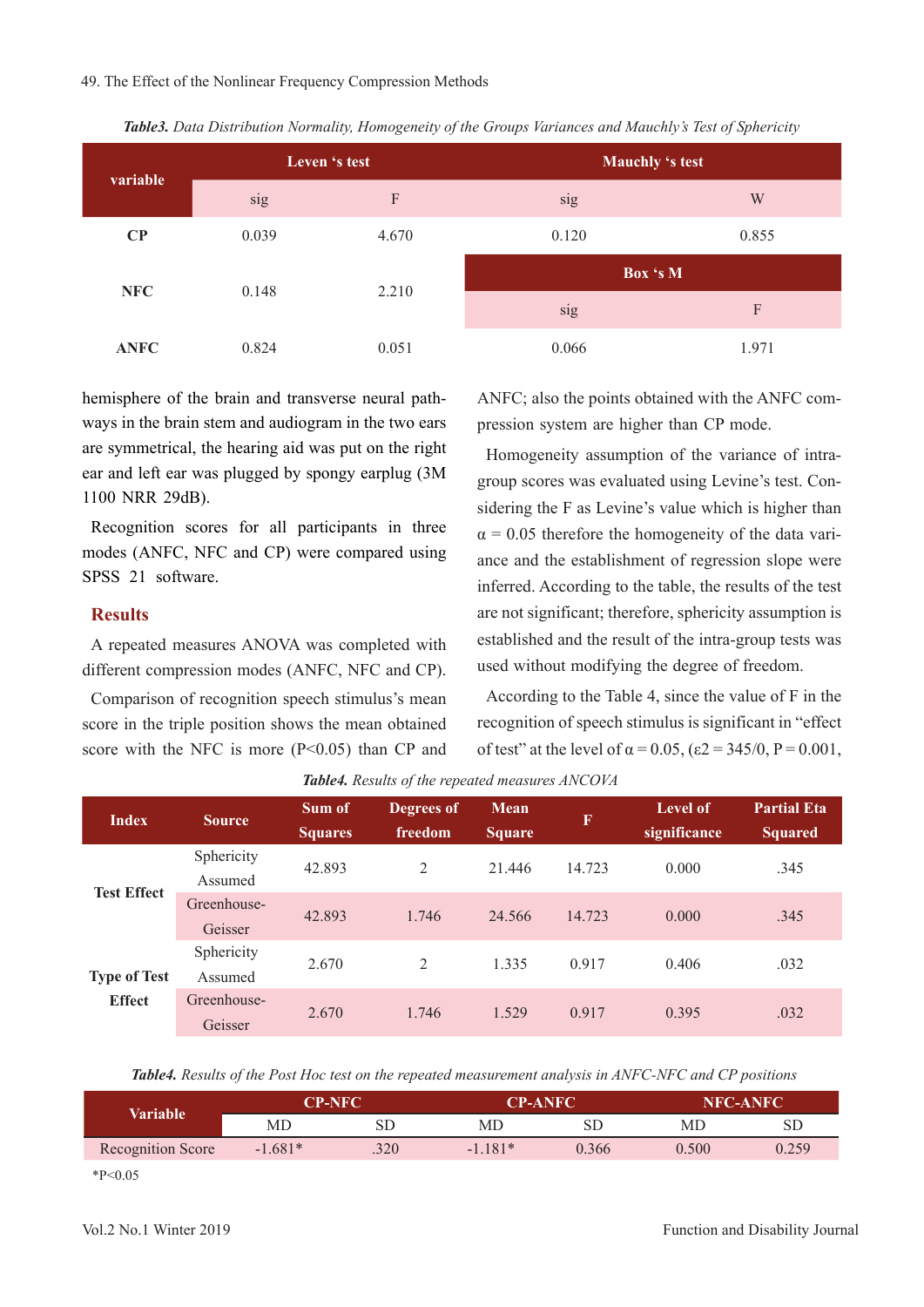#### 49. The Effect of the Nonlinear Frequency Compression Methods

| variable    |       | Leven 's test             | Mauchly 's test |       |  |
|-------------|-------|---------------------------|-----------------|-------|--|
|             | sig   | $\boldsymbol{\mathrm{F}}$ | sig             | W     |  |
| $\bf CP$    | 0.039 | 4.670                     | 0.120           | 0.855 |  |
| <b>NFC</b>  |       |                           | Box 's M        |       |  |
|             | 0.148 | 2.210                     | sig             | F     |  |
| <b>ANFC</b> | 0.824 | 0.051                     | 0.066           | 1.971 |  |

*Table3. Data Distribution Normality, Homogeneity of the Groups Variances and Mauchly's Test of Sphericity*

hemisphere of the brain and transverse neural pathways in the brain stem and audiogram in the two ears are symmetrical, the hearing aid was put on the right ear and left ear was plugged by spongy earplug (3M 1100 NRR 29dB).

Recognition scores for all participants in three modes (ANFC, NFC and CP) were compared using SPSS 21 software.

### **Results**

A repeated measures ANOVA was completed with different compression modes (ANFC, NFC and CP).

Comparison of recognition speech stimulus's mean score in the triple position shows the mean obtained score with the NFC is more  $(P<0.05)$  than CP and ANFC; also the points obtained with the ANFC compression system are higher than CP mode.

Homogeneity assumption of the variance of intragroup scores was evaluated using Levine's test. Considering the F as Levine's value which is higher than  $\alpha$  = 0.05 therefore the homogeneity of the data variance and the establishment of regression slope were inferred. According to the table, the results of the test are not significant; therefore, sphericity assumption is established and the result of the intra-group tests was used without modifying the degree of freedom.

According to the Table 4, since the value of F in the recognition of speech stimulus is significant in "effect of test" at the level of  $\alpha = 0.05$ ,  $(\epsilon 2 = 345/0, P = 0.001$ ,

| <b>Index</b>        | <b>Source</b>          | Sum of<br><b>Squares</b> | Degrees of<br>freedom | Mean<br><b>Square</b> | $\mathbf F$ | <b>Level of</b><br>significance | <b>Partial Eta</b><br><b>Squared</b> |
|---------------------|------------------------|--------------------------|-----------------------|-----------------------|-------------|---------------------------------|--------------------------------------|
| <b>Test Effect</b>  | Sphericity<br>Assumed  | 42.893                   | 2                     | 21.446                | 14.723      | 0.000                           | .345                                 |
|                     | Greenhouse-<br>Geisser | 42.893                   | 1.746                 | 24.566                | 14.723      | 0.000                           | .345                                 |
| <b>Type of Test</b> | Sphericity<br>Assumed  | 2.670                    | 2                     | 1.335                 | 0.917       | 0.406                           | .032                                 |
| <b>Effect</b>       | Greenhouse-<br>Geisser | 2.670                    | 1.746                 | 1.529                 | 0.917       | 0.395                           | .032                                 |

*Table4. Results of the repeated measures ANCOVA*

*Table4. Results of the Post Hoc test on the repeated measurement analysis in ANFC-NFC and CP positions*

| Variable          | <b>CP-NFC</b> |            |           | <b>CP-ANFC</b> |       | <b>NFC-ANFC</b> |  |
|-------------------|---------------|------------|-----------|----------------|-------|-----------------|--|
|                   | MD            | ${\rm SD}$ | МC        | SD             | MD    | SD              |  |
| Recognition Score | $-1.681*$     | .320       | $-1.181*$ | 0.366          | 0.500 | 0.259           |  |
|                   |               |            |           |                |       |                 |  |

 $*P<0.05$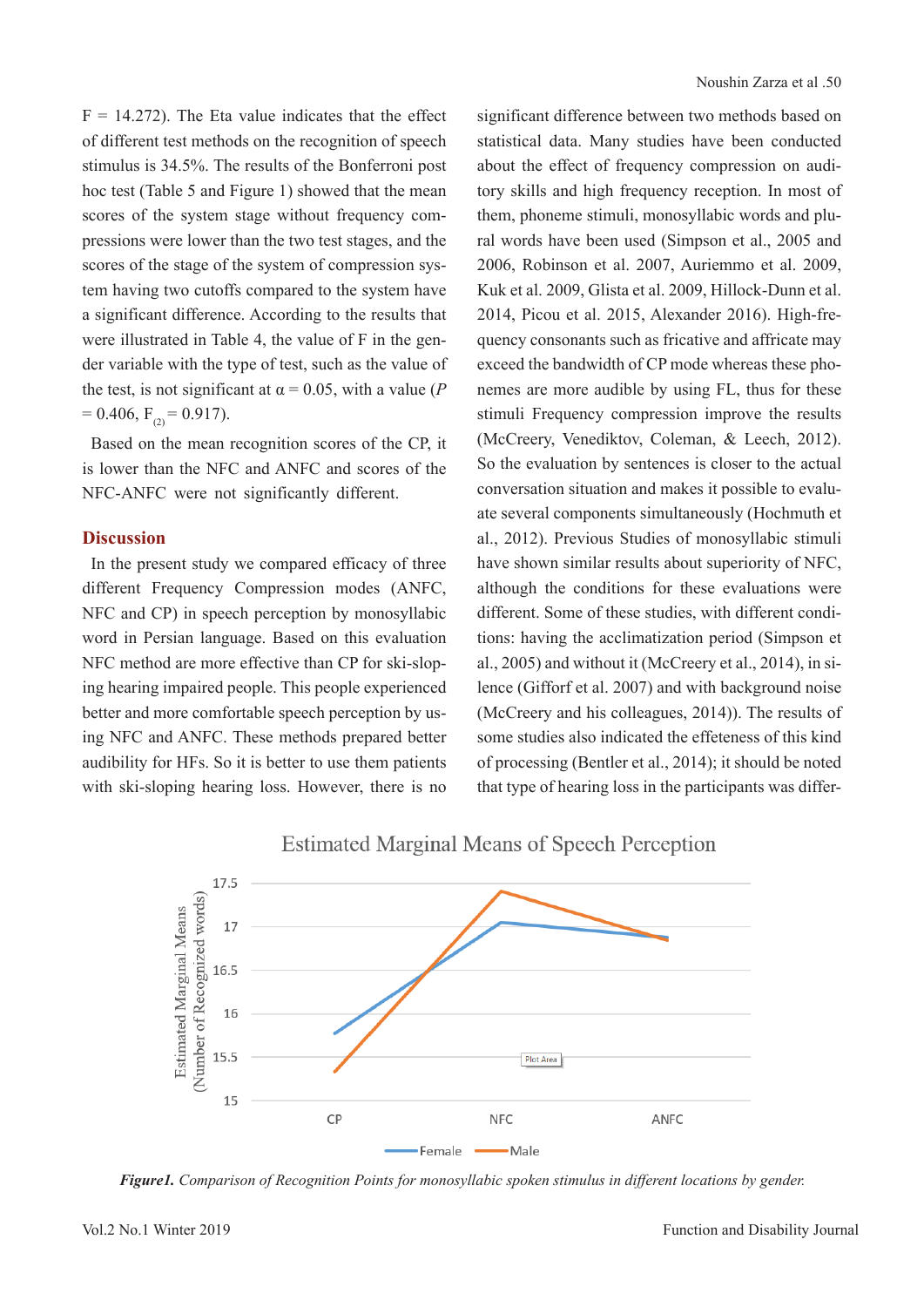$F = 14.272$ ). The Eta value indicates that the effect of different test methods on the recognition of speech stimulus is 34.5%. The results of the Bonferroni post hoc test (Table 5 and Figure 1) showed that the mean scores of the system stage without frequency compressions were lower than the two test stages, and the scores of the stage of the system of compression system having two cutoffs compared to the system have a significant difference. According to the results that were illustrated in Table 4, the value of F in the gender variable with the type of test, such as the value of the test, is not significant at  $\alpha = 0.05$ , with a value (*P*  $= 0.406$ ,  $F_{(2)} = 0.917$ .

Based on the mean recognition scores of the CP, it is lower than the NFC and ANFC and scores of the NFC-ANFC were not significantly different.

# **Discussion**

In the present study we compared efficacy of three different Frequency Compression modes (ANFC, NFC and CP) in speech perception by monosyllabic word in Persian language. Based on this evaluation NFC method are more effective than CP for ski-sloping hearing impaired people. This people experienced better and more comfortable speech perception by using NFC and ANFC. These methods prepared better audibility for HFs. So it is better to use them patients with ski-sloping hearing loss. However, there is no significant difference between two methods based on statistical data. Many studies have been conducted about the effect of frequency compression on auditory skills and high frequency reception. In most of them, phoneme stimuli, monosyllabic words and plural words have been used (Simpson et al., 2005 and 2006, Robinson et al. 2007, Auriemmo et al. 2009, Kuk et al. 2009, Glista et al. 2009, Hillock-Dunn et al. 2014, Picou et al. 2015, Alexander 2016). High-frequency consonants such as fricative and affricate may exceed the bandwidth of CP mode whereas these phonemes are more audible by using FL, thus for these stimuli Frequency compression improve the results (McCreery, Venediktov, Coleman, & Leech, 2012). So the evaluation by sentences is closer to the actual conversation situation and makes it possible to evaluate several components simultaneously (Hochmuth et al., 2012). Previous Studies of monosyllabic stimuli have shown similar results about superiority of NFC, although the conditions for these evaluations were different. Some of these studies, with different conditions: having the acclimatization period (Simpson et al., 2005) and without it (McCreery et al., 2014), in silence (Gifforf et al. 2007) and with background noise (McCreery and his colleagues, 2014)). The results of some studies also indicated the effeteness of this kind of processing (Bentler et al., 2014); it should be noted that type of hearing loss in the participants was differ-



**Estimated Marginal Means of Speech Perception** 

*Figure1. Comparison of Recognition Points for monosyllabic spoken stimulus in different locations by gender.*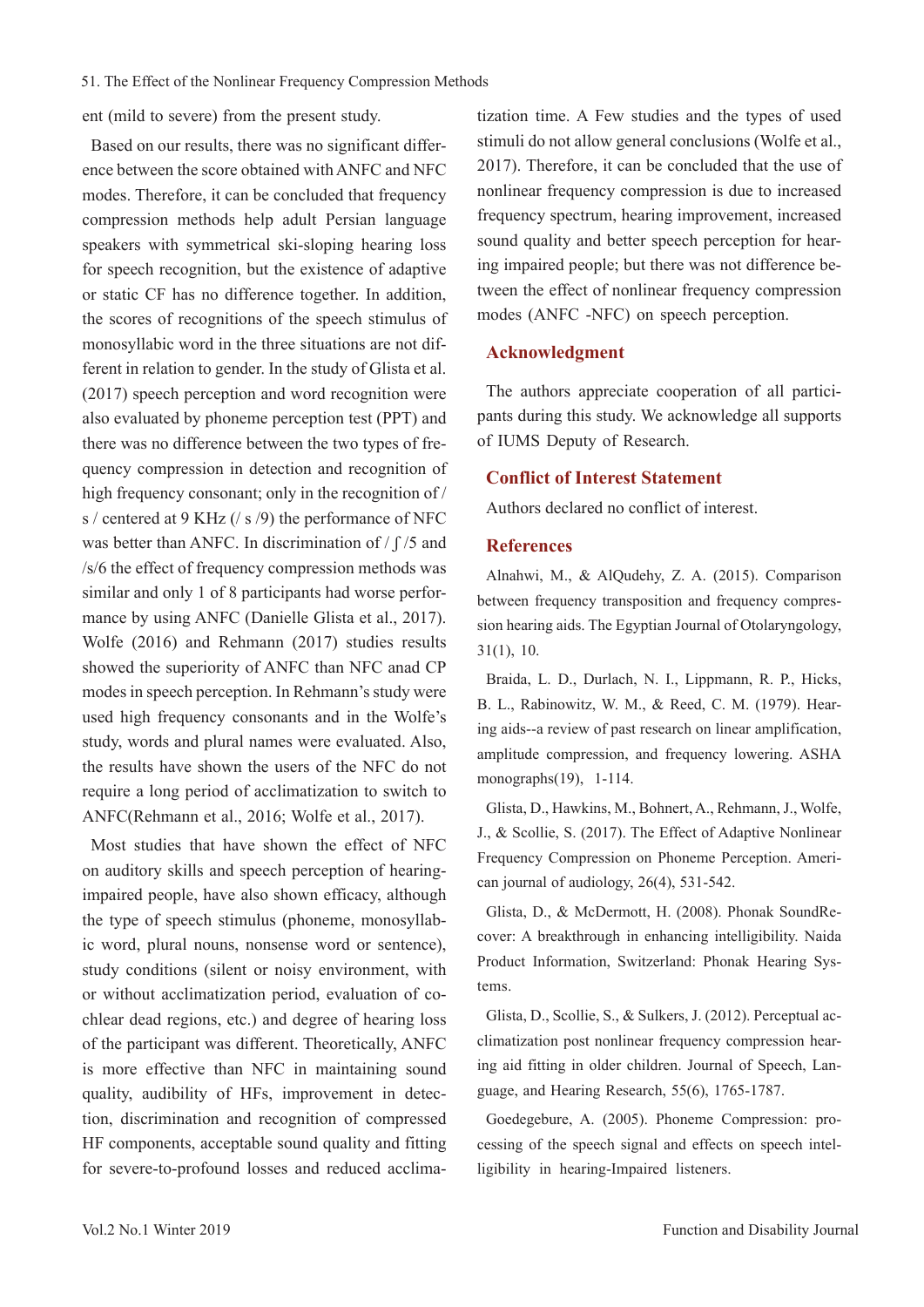ent (mild to severe) from the present study.

Based on our results, there was no significant difference between the score obtained with ANFC and NFC modes. Therefore, it can be concluded that frequency compression methods help adult Persian language speakers with symmetrical ski-sloping hearing loss for speech recognition, but the existence of adaptive or static CF has no difference together. In addition, the scores of recognitions of the speech stimulus of monosyllabic word in the three situations are not different in relation to gender. In the study of Glista et al. (2017) speech perception and word recognition were also evaluated by phoneme perception test (PPT) and there was no difference between the two types of frequency compression in detection and recognition of high frequency consonant; only in the recognition of / s / centered at 9 KHz (/ s /9) the performance of NFC was better than ANFC. In discrimination of  $/ \int / 5$  and /s/6 the effect of frequency compression methods was similar and only 1 of 8 participants had worse performance by using ANFC (Danielle Glista et al., 2017). Wolfe (2016) and Rehmann (2017) studies results showed the superiority of ANFC than NFC anad CP modes in speech perception. In Rehmann's study were used high frequency consonants and in the Wolfe's study, words and plural names were evaluated. Also, the results have shown the users of the NFC do not require a long period of acclimatization to switch to ANFC(Rehmann et al., 2016; Wolfe et al., 2017).

Most studies that have shown the effect of NFC on auditory skills and speech perception of hearingimpaired people, have also shown efficacy, although the type of speech stimulus (phoneme, monosyllabic word, plural nouns, nonsense word or sentence), study conditions (silent or noisy environment, with or without acclimatization period, evaluation of cochlear dead regions, etc.) and degree of hearing loss of the participant was different. Theoretically, ANFC is more effective than NFC in maintaining sound quality, audibility of HFs, improvement in detection, discrimination and recognition of compressed HF components, acceptable sound quality and fitting for severe-to-profound losses and reduced acclimatization time. A Few studies and the types of used stimuli do not allow general conclusions (Wolfe et al., 2017). Therefore, it can be concluded that the use of nonlinear frequency compression is due to increased frequency spectrum, hearing improvement, increased sound quality and better speech perception for hearing impaired people; but there was not difference between the effect of nonlinear frequency compression modes (ANFC -NFC) on speech perception.

#### **Acknowledgment**

The authors appreciate cooperation of all participants during this study. We acknowledge all supports of IUMS Deputy of Research.

### **Conflict of Interest Statement**

Authors declared no conflict of interest.

## **References**

Alnahwi, M., & AlQudehy, Z. A. (2015). Comparison between frequency transposition and frequency compression hearing aids. The Egyptian Journal of Otolaryngology, 31(1), 10.

Braida, L. D., Durlach, N. I., Lippmann, R. P., Hicks, B. L., Rabinowitz, W. M., & Reed, C. M. (1979). Hearing aids--a review of past research on linear amplification, amplitude compression, and frequency lowering. ASHA monographs(19), 1-114.

Glista, D., Hawkins, M., Bohnert, A., Rehmann, J., Wolfe, J., & Scollie, S. (2017). The Effect of Adaptive Nonlinear Frequency Compression on Phoneme Perception. American journal of audiology, 26(4), 531-542.

Glista, D., & McDermott, H. (2008). Phonak SoundRecover: A breakthrough in enhancing intelligibility. Naida Product Information, Switzerland: Phonak Hearing Systems.

Glista, D., Scollie, S., & Sulkers, J. (2012). Perceptual acclimatization post nonlinear frequency compression hearing aid fitting in older children. Journal of Speech, Language, and Hearing Research, 55(6), 1765-1787.

Goedegebure, A. (2005). Phoneme Compression: processing of the speech signal and effects on speech intelligibility in hearing-Impaired listeners.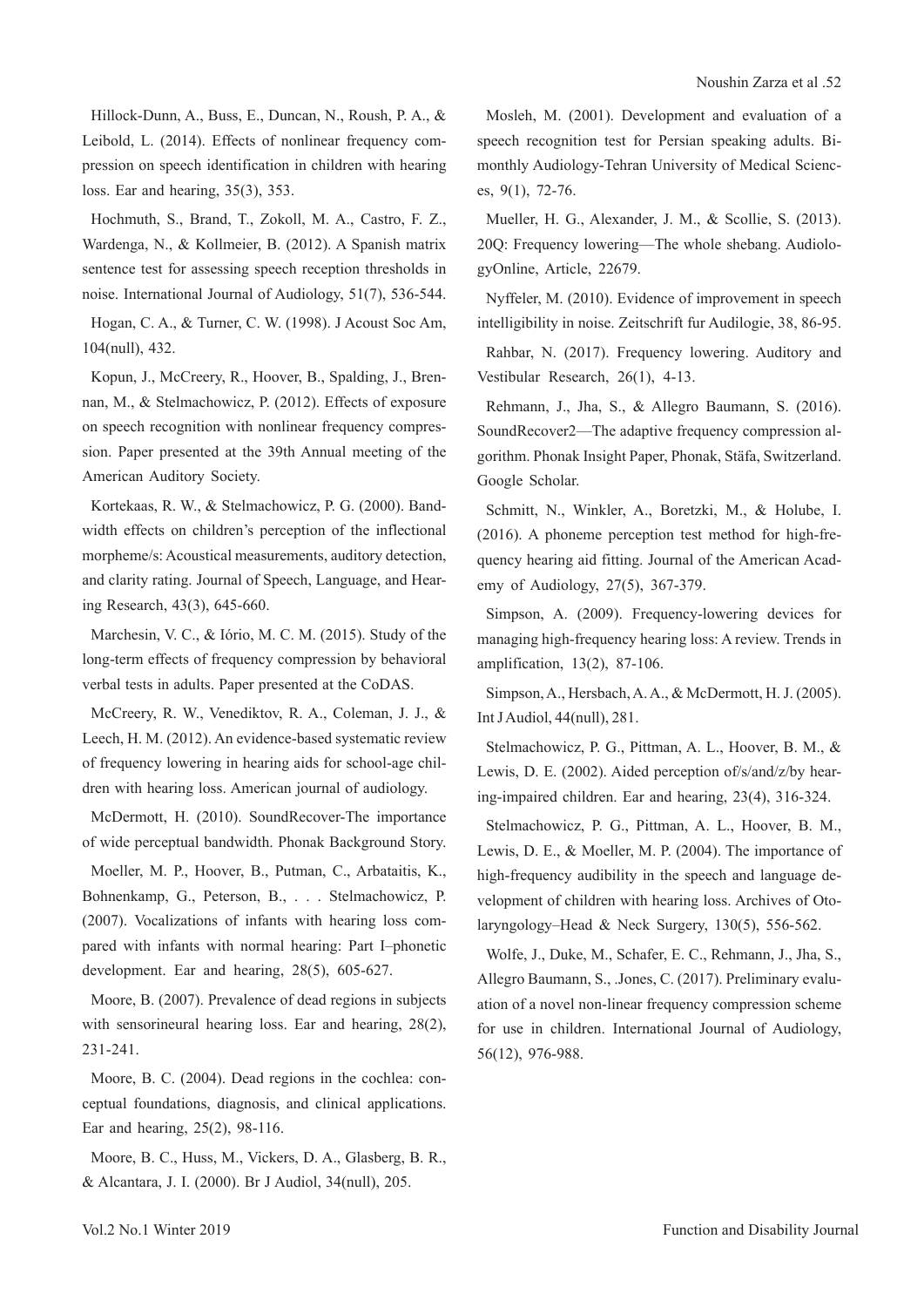Hillock-Dunn, A., Buss, E., Duncan, N., Roush, P. A., & Leibold, L. (2014). Effects of nonlinear frequency compression on speech identification in children with hearing loss. Ear and hearing, 35(3), 353.

Hochmuth, S., Brand, T., Zokoll, M. A., Castro, F. Z., Wardenga, N., & Kollmeier, B. (2012). A Spanish matrix sentence test for assessing speech reception thresholds in noise. International Journal of Audiology, 51(7), 536-544.

Hogan, C. A., & Turner, C. W. (1998). J Acoust Soc Am, 104(null), 432.

Kopun, J., McCreery, R., Hoover, B., Spalding, J., Brennan, M., & Stelmachowicz, P. (2012). Effects of exposure on speech recognition with nonlinear frequency compression. Paper presented at the 39th Annual meeting of the American Auditory Society.

Kortekaas, R. W., & Stelmachowicz, P. G. (2000). Bandwidth effects on children's perception of the inflectional morpheme/s: Acoustical measurements, auditory detection, and clarity rating. Journal of Speech, Language, and Hearing Research, 43(3), 645-660.

Marchesin, V. C., & Iório, M. C. M. (2015). Study of the long-term effects of frequency compression by behavioral verbal tests in adults. Paper presented at the CoDAS.

McCreery, R. W., Venediktov, R. A., Coleman, J. J., & Leech, H. M. (2012). An evidence-based systematic review of frequency lowering in hearing aids for school-age children with hearing loss. American journal of audiology.

McDermott, H. (2010). SoundRecover-The importance of wide perceptual bandwidth. Phonak Background Story.

Moeller, M. P., Hoover, B., Putman, C., Arbataitis, K., Bohnenkamp, G., Peterson, B., . . . Stelmachowicz, P. (2007). Vocalizations of infants with hearing loss compared with infants with normal hearing: Part I–phonetic development. Ear and hearing, 28(5), 605-627.

Moore, B. (2007). Prevalence of dead regions in subjects with sensorineural hearing loss. Ear and hearing, 28(2), 231-241.

Moore, B. C. (2004). Dead regions in the cochlea: conceptual foundations, diagnosis, and clinical applications. Ear and hearing, 25(2), 98-116.

Moore, B. C., Huss, M., Vickers, D. A., Glasberg, B. R., & Alcantara, J. I. (2000). Br J Audiol, 34(null), 205.

Mosleh, M. (2001). Development and evaluation of a speech recognition test for Persian speaking adults. Bimonthly Audiology-Tehran University of Medical Sciences, 9(1), 72-76.

Mueller, H. G., Alexander, J. M., & Scollie, S. (2013). 20Q: Frequency lowering—The whole shebang. AudiologyOnline, Article, 22679.

Nyffeler, M. (2010). Evidence of improvement in speech intelligibility in noise. Zeitschrift fur Audilogie, 38, 86-95. Rahbar, N. (2017). Frequency lowering. Auditory and Vestibular Research, 26(1), 4-13.

Rehmann, J., Jha, S., & Allegro Baumann, S. (2016). SoundRecover2—The adaptive frequency compression algorithm. Phonak Insight Paper, Phonak, Stäfa, Switzerland. Google Scholar.

Schmitt, N., Winkler, A., Boretzki, M., & Holube, I. (2016). A phoneme perception test method for high-frequency hearing aid fitting. Journal of the American Academy of Audiology, 27(5), 367-379.

Simpson, A. (2009). Frequency-lowering devices for managing high-frequency hearing loss: A review. Trends in amplification, 13(2), 87-106.

Simpson, A., Hersbach, A. A., & McDermott, H. J. (2005). Int J Audiol, 44(null), 281.

Stelmachowicz, P. G., Pittman, A. L., Hoover, B. M., & Lewis, D. E. (2002). Aided perception of/s/and/z/by hearing-impaired children. Ear and hearing, 23(4), 316-324.

Stelmachowicz, P. G., Pittman, A. L., Hoover, B. M., Lewis, D. E., & Moeller, M. P. (2004). The importance of high-frequency audibility in the speech and language development of children with hearing loss. Archives of Otolaryngology–Head & Neck Surgery, 130(5), 556-562.

Wolfe, J., Duke, M., Schafer, E. C., Rehmann, J., Jha, S., Allegro Baumann, S., .Jones, C. (2017). Preliminary evaluation of a novel non-linear frequency compression scheme for use in children. International Journal of Audiology, 56(12), 976-988.